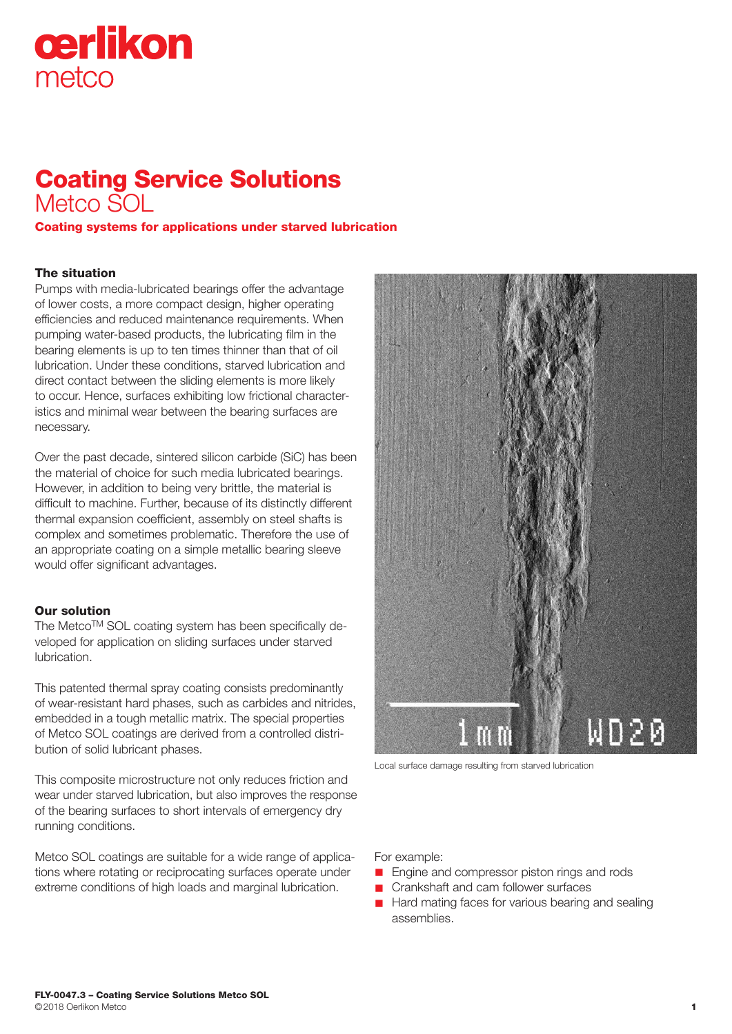# cerlikon metco

## Coating Service Solutions Metco SOL

Coating systems for applications under starved lubrication

### The situation

Pumps with media-lubricated bearings offer the advantage of lower costs, a more compact design, higher operating efficiencies and reduced maintenance requirements. When pumping water-based products, the lubricating film in the bearing elements is up to ten times thinner than that of oil lubrication. Under these conditions, starved lubrication and direct contact between the sliding elements is more likely to occur. Hence, surfaces exhibiting low frictional characteristics and minimal wear between the bearing surfaces are necessary.

Over the past decade, sintered silicon carbide (SiC) has been the material of choice for such media lubricated bearings. However, in addition to being very brittle, the material is difficult to machine. Further, because of its distinctly different thermal expansion coefficient, assembly on steel shafts is complex and sometimes problematic. Therefore the use of an appropriate coating on a simple metallic bearing sleeve would offer significant advantages.

#### Our solution

The Metco™ SOL coating system has been specifically developed for application on sliding surfaces under starved lubrication.

This patented thermal spray coating consists predominantly of wear-resistant hard phases, such as carbides and nitrides, embedded in a tough metallic matrix. The special properties of Metco SOL coatings are derived from a controlled distribution of solid lubricant phases.

This composite microstructure not only reduces friction and wear under starved lubrication, but also improves the response of the bearing surfaces to short intervals of emergency dry running conditions.

Metco SOL coatings are suitable for a wide range of applications where rotating or reciprocating surfaces operate under extreme conditions of high loads and marginal lubrication.



Local surface damage resulting from starved lubrication

For example:

- **n** Engine and compressor piston rings and rods
- Crankshaft and cam follower surfaces
- Hard mating faces for various bearing and sealing assemblies.